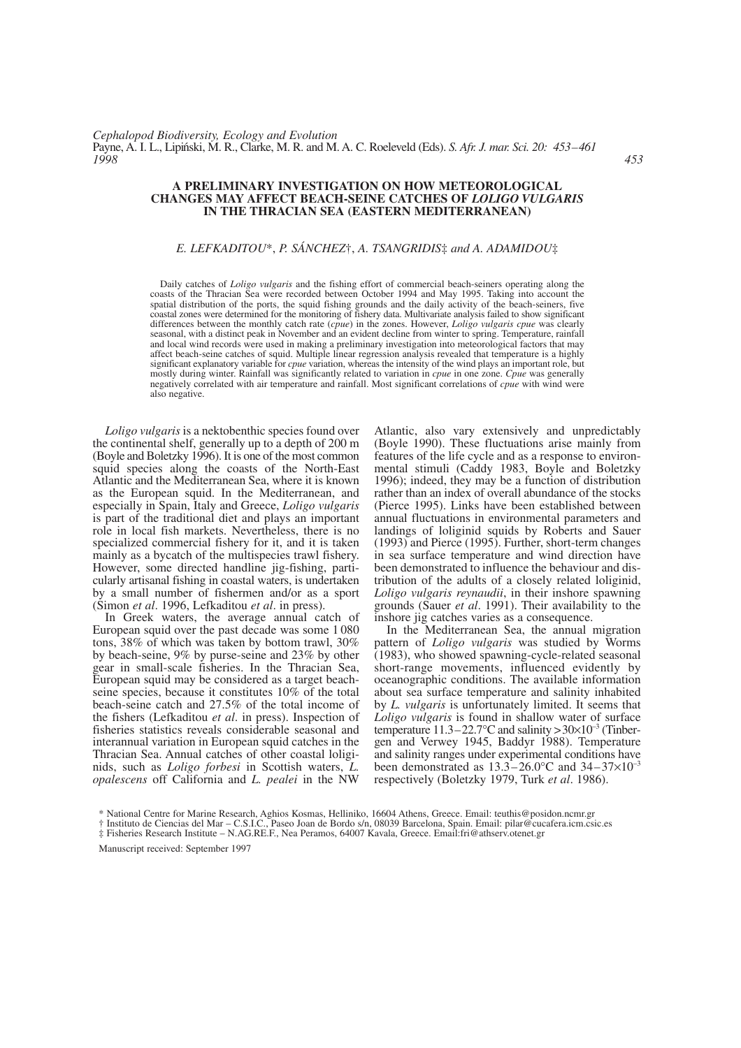# **A PRELIMINARY INVESTIGATION ON HOW METEOROLOGICAL CHANGES MAY AFFECT BEACH-SEINE CATCHES OF** *LOLIGO VULGARIS* **IN THE THRACIAN SEA (EASTERN MEDITERRANEAN)**

# *E. LEFKADITOU*\*, *P. SÁNCHEZ*†, *A. TSANGRIDIS*‡ *and A. ADAMIDOU*‡

Daily catches of *Loligo vulgaris* and the fishing effort of commercial beach-seiners operating along the coasts of the Thracian Sea were recorded between October 1994 and May 1995. Taking into account the spatial distribution of the ports, the squid fishing grounds and the daily activity of the beach-seiners, five coastal zones were determined for the monitoring of fishery data. Multivariate analysis failed to show significant differences between the monthly catch rate (*cpue*) in the zones. However, *Loligo vulgaris cpue* was clearly seasonal, with a distinct peak in November and an evident decline from winter to spring. Temperature, rainfall and local wind records were used in making a preliminary investigation into meteorological factors that may affect beach-seine catches of squid. Multiple linear regression analysis revealed that temperature is a highly significant explanatory variable for *cpue* variation, whereas the intensity of the wind plays an important role, but mostly during winter. Rainfall was significantly related to variation in *cpue* in one zone. *Cpue* was generally negatively correlated with air temperature and rainfall. Most significant correlations of *cpue* with wind were also negative.

*Loligo vulgaris* is a nektobenthic species found over the continental shelf, generally up to a depth of 200 m (Boyle and Boletzky 1996). It is one of the most common squid species along the coasts of the North-East Atlantic and the Mediterranean Sea, where it is known as the European squid. In the Mediterranean, and especially in Spain, Italy and Greece, *Loligo vulgaris* is part of the traditional diet and plays an important role in local fish markets. Nevertheless, there is no specialized commercial fishery for it, and it is taken mainly as a bycatch of the multispecies trawl fishery. However, some directed handline jig-fishing, particularly artisanal fishing in coastal waters, is undertaken by a small number of fishermen and/or as a sport (Simon *et al*. 1996, Lefkaditou *et al*. in press).

In Greek waters, the average annual catch of European squid over the past decade was some 1 080 tons, 38% of which was taken by bottom trawl, 30% by beach-seine, 9% by purse-seine and 23% by other gear in small-scale fisheries. In the Thracian Sea, European squid may be considered as a target beachseine species, because it constitutes 10% of the total beach-seine catch and 27.5% of the total income of the fishers (Lefkaditou *et al*. in press). Inspection of fisheries statistics reveals considerable seasonal and interannual variation in European squid catches in the Thracian Sea. Annual catches of other coastal loliginids, such as *Loligo forbesi* in Scottish waters, *L. opalescens* off California and *L. pealei* in the NW

Atlantic, also vary extensively and unpredictably (Boyle 1990). These fluctuations arise mainly from features of the life cycle and as a response to environmental stimuli (Caddy 1983, Boyle and Boletzky 1996); indeed, they may be a function of distribution rather than an index of overall abundance of the stocks (Pierce 1995). Links have been established between annual fluctuations in environmental parameters and landings of loliginid squids by Roberts and Sauer (1993) and Pierce (1995). Further, short-term changes in sea surface temperature and wind direction have been demonstrated to influence the behaviour and distribution of the adults of a closely related loliginid, *Loligo vulgaris reynaudii*, in their inshore spawning grounds (Sauer *et al*. 1991). Their availability to the inshore jig catches varies as a consequence.

In the Mediterranean Sea, the annual migration pattern of *Loligo vulgaris* was studied by Worms (1983), who showed spawning-cycle-related seasonal short-range movements, influenced evidently by oceanographic conditions. The available information about sea surface temperature and salinity inhabited by *L. vulgaris* is unfortunately limited. It seems that *Loligo vulgaris* is found in shallow water of surface temperature  $11.3-22.7$ °C and salinity >  $30\times10^{-3}$  (Tinbergen and Verwey 1945, Baddyr 1988). Temperature and salinity ranges under experimental conditions have been demonstrated as  $13.3-26.0$ °C and  $34-37\times10^{-3}$ respectively (Boletzky 1979, Turk *et al*. 1986).

Manuscript received: September 1997

<sup>\*</sup> National Centre for Marine Research, Aghios Kosmas, Helliniko, 16604 Athens, Greece. Email: teuthis@posidon.ncmr.gr

<sup>†</sup> Instituto de Ciencias del Mar – C.S.I.C., Paseo Joan de Bordo s/n, 08039 Barcelona, Spain. Email: pilar@cucafera.icm.csic.es

<sup>‡</sup> Fisheries Research Institute – N.AG.RE.F., Nea Peramos, 64007 Kavala, Greece. Email:fri@athserv.otenet.gr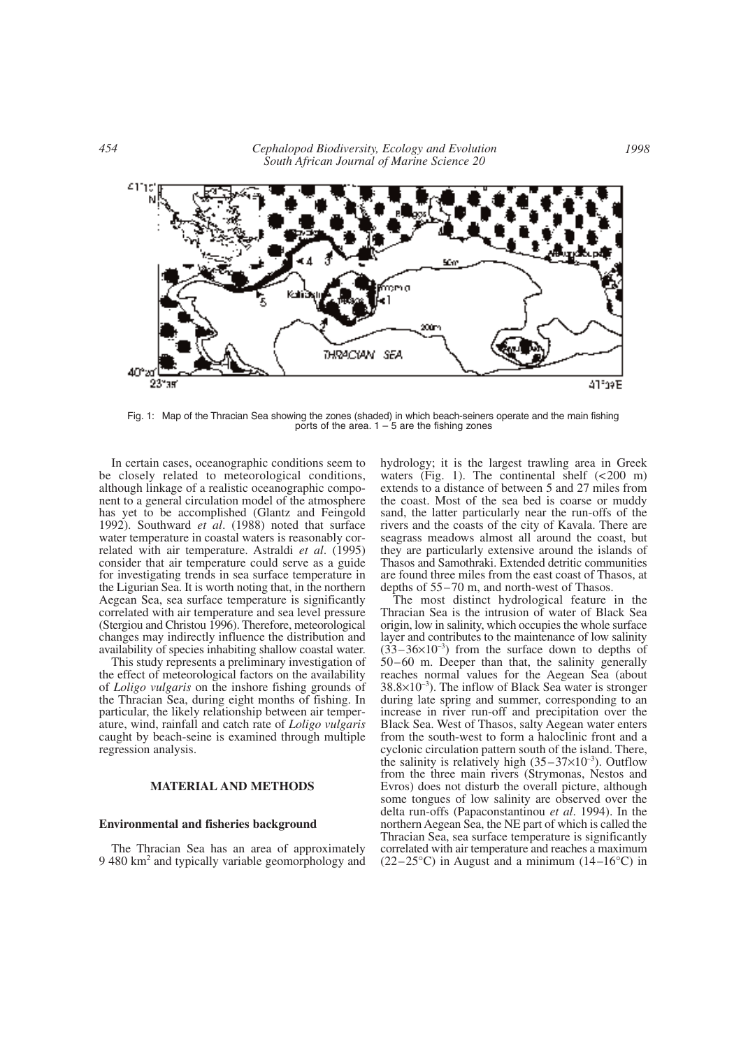

Fig. 1: Map of the Thracian Sea showing the zones (shaded) in which beach-seiners operate and the main fishing ports of the area.  $1 - 5$  are the fishing zones

In certain cases, oceanographic conditions seem to be closely related to meteorological conditions, although linkage of a realistic oceanographic component to a general circulation model of the atmosphere has yet to be accomplished (Glantz and Feingold 1992). Southward *et al*. (1988) noted that surface water temperature in coastal waters is reasonably correlated with air temperature. Astraldi *et al*. (1995) consider that air temperature could serve as a guide for investigating trends in sea surface temperature in the Ligurian Sea. It is worth noting that, in the northern Aegean Sea, sea surface temperature is significantly correlated with air temperature and sea level pressure (Stergiou and Christou 1996). Therefore, meteorological changes may indirectly influence the distribution and availability of species inhabiting shallow coastal water.

This study represents a preliminary investigation of the effect of meteorological factors on the availability of *Loligo vulgaris* on the inshore fishing grounds of the Thracian Sea, during eight months of fishing. In particular, the likely relationship between air temperature, wind, rainfall and catch rate of *Loligo vulgaris* caught by beach-seine is examined through multiple regression analysis.

# **MATERIAL AND METHODS**

### **Environmental and fisheries background**

The Thracian Sea has an area of approximately 9 480 km2 and typically variable geomorphology and hydrology; it is the largest trawling area in Greek waters (Fig. 1). The continental shelf  $\left($  <200 m) extends to a distance of between 5 and 27 miles from the coast. Most of the sea bed is coarse or muddy sand, the latter particularly near the run-offs of the rivers and the coasts of the city of Kavala. There are seagrass meadows almost all around the coast, but they are particularly extensive around the islands of Thasos and Samothraki. Extended detritic communities are found three miles from the east coast of Thasos, at depths of 55–70 m, and north-west of Thasos.

The most distinct hydrological feature in the Thracian Sea is the intrusion of water of Black Sea origin, low in salinity, which occupies the whole surface layer and contributes to the maintenance of low salinity  $(33-36\times10^{-3})$  from the surface down to depths of 50–60 m. Deeper than that, the salinity generally reaches normal values for the Aegean Sea (about  $38.8\times10^{-3}$ ). The inflow of Black Sea water is stronger during late spring and summer, corresponding to an increase in river run-off and precipitation over the Black Sea. West of Thasos, salty Aegean water enters from the south-west to form a haloclinic front and a cyclonic circulation pattern south of the island. There, the salinity is relatively high  $(35-37\times10^{-3})$ . Outflow from the three main rivers (Strymonas, Nestos and Evros) does not disturb the overall picture, although some tongues of low salinity are observed over the delta run-offs (Papaconstantinou *et al*. 1994). In the northern Aegean Sea, the NE part of which is called the Thracian Sea, sea surface temperature is significantly correlated with air temperature and reaches a maximum  $(22-25\degree C)$  in August and a minimum  $(14-16\degree C)$  in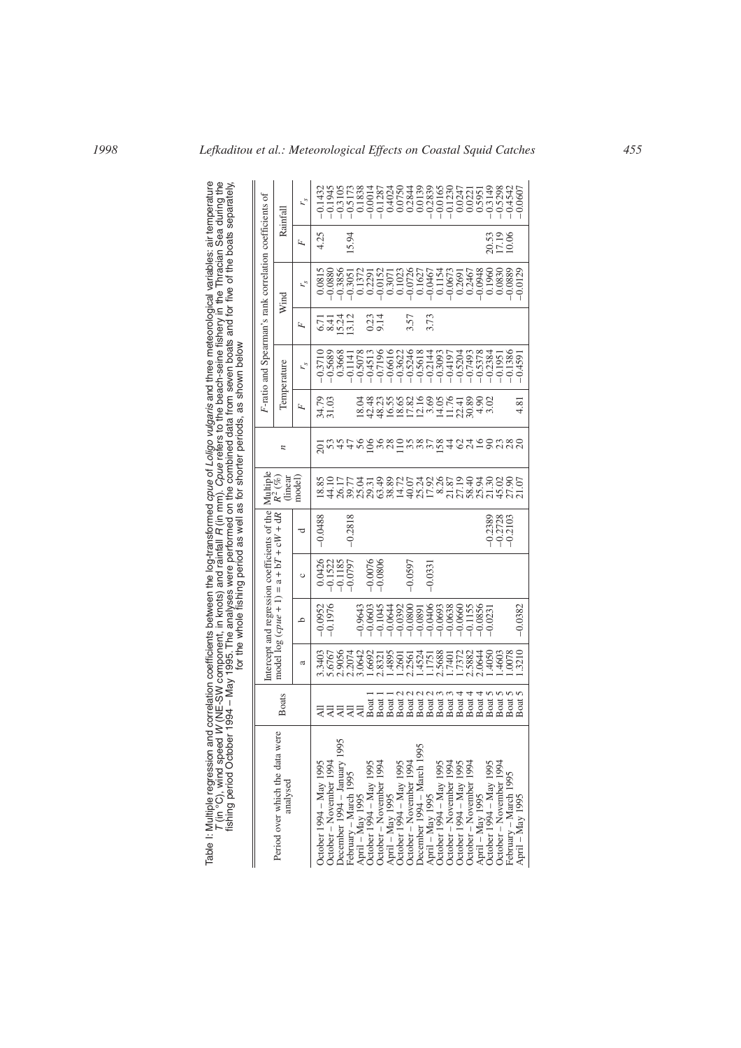Table I: Multiple regression and correlation coefficients between the log-transformed *cpue* of *Loligo vulgaris* and three meteorological variables: air temperature *T* (in °C), wind speed *W* (NE-SW component, in knots) and rainfall *R* (in mm). *Cpue* refers to the beach-seine fishery in the Thracian Sea during the fishing period October 1994 – May 1995. The analyses were performed on the combined data from seven boats and for five of the boats separately, for the whole fishing period as well as for shorter periods, as shown below  $\mathbf{I}$  $\overline{\phantom{a}}$  $\overline{\phantom{a}}$ 

|                                                                                                                                                                                                                                                           |                |                                                  | Intercept and regression coefficients of the                                                                                                                                                                                                                                                                                                |                        |                                     | Multiple                                                                                                    |                |                                                        | F-ratio and Spearman's rank correlation coefficients of |              |                                                                                                                                                                                                                                                                                                     |                         |                        |
|-----------------------------------------------------------------------------------------------------------------------------------------------------------------------------------------------------------------------------------------------------------|----------------|--------------------------------------------------|---------------------------------------------------------------------------------------------------------------------------------------------------------------------------------------------------------------------------------------------------------------------------------------------------------------------------------------------|------------------------|-------------------------------------|-------------------------------------------------------------------------------------------------------------|----------------|--------------------------------------------------------|---------------------------------------------------------|--------------|-----------------------------------------------------------------------------------------------------------------------------------------------------------------------------------------------------------------------------------------------------------------------------------------------------|-------------------------|------------------------|
| Period over which the data were<br>analysed                                                                                                                                                                                                               | <b>Boats</b>   |                                                  | model $log(cpue + 1) = a + bT + cW + dR$                                                                                                                                                                                                                                                                                                    |                        |                                     | $R^2\,(\phi\bar{\!\!\:\!\!\!v}_\ell)$<br>(linear                                                            | $\overline{a}$ |                                                        | Temperature                                             |              | Wind                                                                                                                                                                                                                                                                                                |                         | Rainfal                |
|                                                                                                                                                                                                                                                           |                | a                                                | م                                                                                                                                                                                                                                                                                                                                           | $\circ$                | ರ                                   | model)                                                                                                      |                | F                                                      | Ľ                                                       | Ŀ,           | r's                                                                                                                                                                                                                                                                                                 | F                       | r's                    |
| October 1994 – May 1995                                                                                                                                                                                                                                   |                | 1.3403                                           | $-0.0952$                                                                                                                                                                                                                                                                                                                                   | 0.0426                 | 0.0488                              |                                                                                                             |                |                                                        | $-0.371$                                                | 6.71         |                                                                                                                                                                                                                                                                                                     | 4.25                    | $-0.143$               |
| October – November 1994<br>December 1994 – January 1995<br>Febril – March 1995<br>October 1994 – May 1995<br>October 1994 – May 1995                                                                                                                      |                |                                                  | $-0.1976$                                                                                                                                                                                                                                                                                                                                   | $-0.1522$<br>$-0.1185$ |                                     |                                                                                                             |                | 34.79<br>31.03                                         | $-0.5689$                                               | 8.4          | $0.0815$<br>$-0.0880$                                                                                                                                                                                                                                                                               |                         | $-0.1945$              |
|                                                                                                                                                                                                                                                           |                |                                                  |                                                                                                                                                                                                                                                                                                                                             |                        |                                     |                                                                                                             |                |                                                        | 0.3668                                                  | 5.24         | $-0.3856$                                                                                                                                                                                                                                                                                           |                         |                        |
|                                                                                                                                                                                                                                                           | ੩੩੩            |                                                  |                                                                                                                                                                                                                                                                                                                                             | $-0.0797$              | $-0.2818$                           |                                                                                                             |                |                                                        | $-0.1141$                                               | 3.12         | $-0.3051$                                                                                                                                                                                                                                                                                           | 15.94                   |                        |
|                                                                                                                                                                                                                                                           | $\overline{A}$ |                                                  | 0.9643                                                                                                                                                                                                                                                                                                                                      |                        |                                     |                                                                                                             |                |                                                        |                                                         |              |                                                                                                                                                                                                                                                                                                     |                         |                        |
|                                                                                                                                                                                                                                                           | Boat           |                                                  | $-0.0603$<br>$-0.1045$                                                                                                                                                                                                                                                                                                                      | 0.0076                 |                                     |                                                                                                             |                | 33338335635548903<br>34355831555558903<br>443552555555 | $-0.5078$<br>$-0.4513$                                  |              | $\begin{array}{c} 0.1372 \\ 0.2291 \\ -0.0152 \end{array}$                                                                                                                                                                                                                                          |                         |                        |
|                                                                                                                                                                                                                                                           |                |                                                  |                                                                                                                                                                                                                                                                                                                                             | $-0.0806$              |                                     |                                                                                                             | $rac{86}{36}$  |                                                        | $-0.7196$                                               | 0.23<br>9.14 |                                                                                                                                                                                                                                                                                                     |                         |                        |
|                                                                                                                                                                                                                                                           | Boat<br>Boat   |                                                  |                                                                                                                                                                                                                                                                                                                                             |                        |                                     |                                                                                                             |                |                                                        | $-0.6616$                                               |              |                                                                                                                                                                                                                                                                                                     |                         |                        |
|                                                                                                                                                                                                                                                           | Boat 2         |                                                  |                                                                                                                                                                                                                                                                                                                                             |                        |                                     |                                                                                                             |                |                                                        | $-0.3622$                                               |              |                                                                                                                                                                                                                                                                                                     |                         |                        |
| October – November 1994<br>April – May 1995<br>October 1994 – May 1995<br>October – November 1994<br>October – November 1995<br>April – May 1995<br>October – November 1994<br>October – November 1994<br>October – November 1994<br>October 1994 – May 1 | Boat 2         |                                                  | $\begin{array}{l} -0.0640 \\ -0.0390 \\ -0.0380 \\ -0.080 \\ -0.080 \\ -0.080 \\ -0.063 \\ -0.060 \\ -0.060 \\ -0.01 \\ -0.01 \\ -0.01 \\ -0.01 \\ -0.01 \\ -0.01 \\ -0.01 \\ -0.01 \\ -0.01 \\ -0.01 \\ -0.01 \\ -0.01 \\ -0.01 \\ -0.01 \\ -0.01 \\ -0.01 \\ -0.01 \\ -0.01 \\ -0.01 \\ -0.01 \\ -0.01 \\ -0.01 \\ -0.01 \\ -0.01 \\ -0.$ | $-0.0597$              |                                     |                                                                                                             |                |                                                        | $-0.5246$                                               | 3.57         | $\begin{array}{l} 1.3071 \\ 1.023 \\ 0.1028 \\ 0.0726 \\ 0.007 \\ 0.007 \\ 0.007 \\ 0.007 \\ 0.007 \\ 0.007 \\ 0.007 \\ 0.007 \\ 0.007 \\ 0.007 \\ 0.008 \\ 0.008 \\ 0.008 \\ 0.008 \\ 0.008 \\ 0.008 \\ 0.008 \\ 0.008 \\ 0.008 \\ 0.008 \\ 0.008 \\ 0.008 \\ 0.008 \\ 0.008 \\ 0.008 \\ 0.008 \\$ |                         |                        |
|                                                                                                                                                                                                                                                           | Boat 2         |                                                  |                                                                                                                                                                                                                                                                                                                                             |                        |                                     |                                                                                                             |                |                                                        | $-0.5618$                                               |              |                                                                                                                                                                                                                                                                                                     |                         |                        |
|                                                                                                                                                                                                                                                           | Boat 2         |                                                  |                                                                                                                                                                                                                                                                                                                                             | $-0.033$               |                                     |                                                                                                             |                |                                                        | $-0.2144$<br>$-0.3093$<br>$-0.4197$                     | 3.73         |                                                                                                                                                                                                                                                                                                     |                         |                        |
|                                                                                                                                                                                                                                                           | Boat:          |                                                  |                                                                                                                                                                                                                                                                                                                                             |                        |                                     |                                                                                                             | $\frac{58}{2}$ |                                                        |                                                         |              |                                                                                                                                                                                                                                                                                                     |                         |                        |
|                                                                                                                                                                                                                                                           | Boat 3         |                                                  |                                                                                                                                                                                                                                                                                                                                             |                        |                                     |                                                                                                             |                |                                                        |                                                         |              |                                                                                                                                                                                                                                                                                                     |                         |                        |
|                                                                                                                                                                                                                                                           | Boat -         |                                                  |                                                                                                                                                                                                                                                                                                                                             |                        |                                     |                                                                                                             |                |                                                        | $-0.5204$                                               |              |                                                                                                                                                                                                                                                                                                     |                         |                        |
|                                                                                                                                                                                                                                                           | Boat -         | 2.5882                                           |                                                                                                                                                                                                                                                                                                                                             |                        |                                     |                                                                                                             |                |                                                        | $-0.7493$                                               |              |                                                                                                                                                                                                                                                                                                     |                         |                        |
|                                                                                                                                                                                                                                                           | Boat.          | 2.0644                                           | $-0.0856$                                                                                                                                                                                                                                                                                                                                   |                        |                                     |                                                                                                             | 58             |                                                        | $-0.5378$                                               |              |                                                                                                                                                                                                                                                                                                     |                         |                        |
| October – November 1994<br>April – May 1995<br>October 1994 – May 1995<br>October – November 1994                                                                                                                                                         | Boat:          |                                                  | $-0.0231$                                                                                                                                                                                                                                                                                                                                   |                        | $-0.2389$<br>$-0.2728$<br>$-0.2103$ |                                                                                                             |                |                                                        | $-0.2384$                                               |              |                                                                                                                                                                                                                                                                                                     | 20.53<br>17.19<br>10.06 |                        |
|                                                                                                                                                                                                                                                           | Boat:          |                                                  |                                                                                                                                                                                                                                                                                                                                             |                        |                                     |                                                                                                             |                |                                                        | $-0.1951$                                               |              |                                                                                                                                                                                                                                                                                                     |                         |                        |
|                                                                                                                                                                                                                                                           | Boat 5         | $\frac{14663}{1.4603}$<br>$\frac{14603}{1.3210}$ |                                                                                                                                                                                                                                                                                                                                             |                        |                                     | sa thra da ghraidhe an cheadhair.<br>Sa thra da ghraidhe an cheadhair.<br>Sa thra da ghraidhe an cheadhair. |                |                                                        | $-0.1386$                                               |              | $-0.0889$<br>$-0.0129$                                                                                                                                                                                                                                                                              |                         | $-0.5298$<br>$-0.4542$ |
| February – March 1995<br>April – May 1995                                                                                                                                                                                                                 | Boat:          |                                                  | $-0.0382$                                                                                                                                                                                                                                                                                                                                   |                        |                                     |                                                                                                             |                | 4.81                                                   | $-0.4591$                                               |              |                                                                                                                                                                                                                                                                                                     |                         | $-0.0607$              |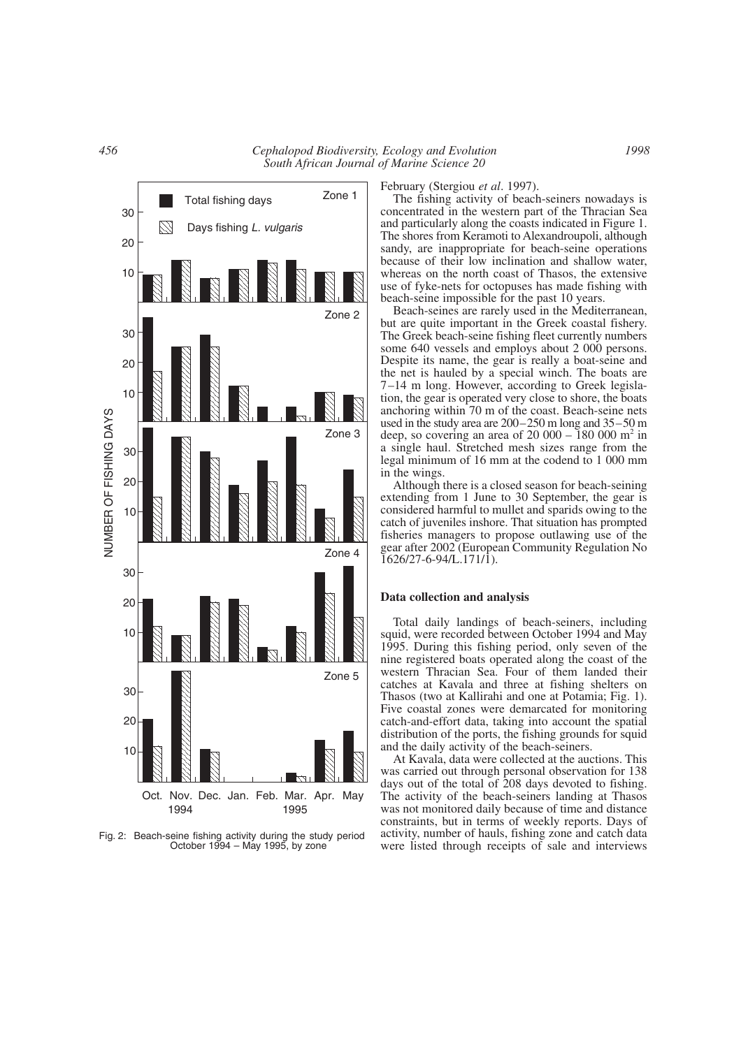*456 Cephalopod Biodiversity, Ecology and Evolution South African Journal of Marine Science 20*



Fig. 2: Beach-seine fishing activity during the study period October 1994 – May 1995, by zone

February (Stergiou *et al*. 1997).

The fishing activity of beach-seiners nowadays is concentrated in the western part of the Thracian Sea and particularly along the coasts indicated in Figure 1. The shores from Keramoti to Alexandroupoli, although sandy, are inappropriate for beach-seine operations because of their low inclination and shallow water, whereas on the north coast of Thasos, the extensive use of fyke-nets for octopuses has made fishing with beach-seine impossible for the past 10 years.

Beach-seines are rarely used in the Mediterranean, but are quite important in the Greek coastal fishery. The Greek beach-seine fishing fleet currently numbers some 640 vessels and employs about 2 000 persons. Despite its name, the gear is really a boat-seine and the net is hauled by a special winch. The boats are 7–14 m long. However, according to Greek legislation, the gear is operated very close to shore, the boats anchoring within 70 m of the coast. Beach-seine nets used in the study area are 200–250 m long and 35–50 m deep, so covering an area of  $20\,000 - 180\,000$  m<sup>2</sup> in a single haul. Stretched mesh sizes range from the legal minimum of 16 mm at the codend to 1 000 mm in the wings.

Although there is a closed season for beach-seining extending from 1 June to 30 September, the gear is considered harmful to mullet and sparids owing to the catch of juveniles inshore. That situation has prompted fisheries managers to propose outlawing use of the gear after 2002 (European Community Regulation No 1626/27-6-94/L.171/1).

### **Data collection and analysis**

Total daily landings of beach-seiners, including squid, were recorded between October 1994 and May 1995. During this fishing period, only seven of the nine registered boats operated along the coast of the western Thracian Sea. Four of them landed their catches at Kavala and three at fishing shelters on Thasos (two at Kallirahi and one at Potamia; Fig. 1). Five coastal zones were demarcated for monitoring catch-and-effort data, taking into account the spatial distribution of the ports, the fishing grounds for squid and the daily activity of the beach-seiners.

At Kavala, data were collected at the auctions. This was carried out through personal observation for 138 days out of the total of 208 days devoted to fishing. The activity of the beach-seiners landing at Thasos was not monitored daily because of time and distance constraints, but in terms of weekly reports. Days of activity, number of hauls, fishing zone and catch data were listed through receipts of sale and interviews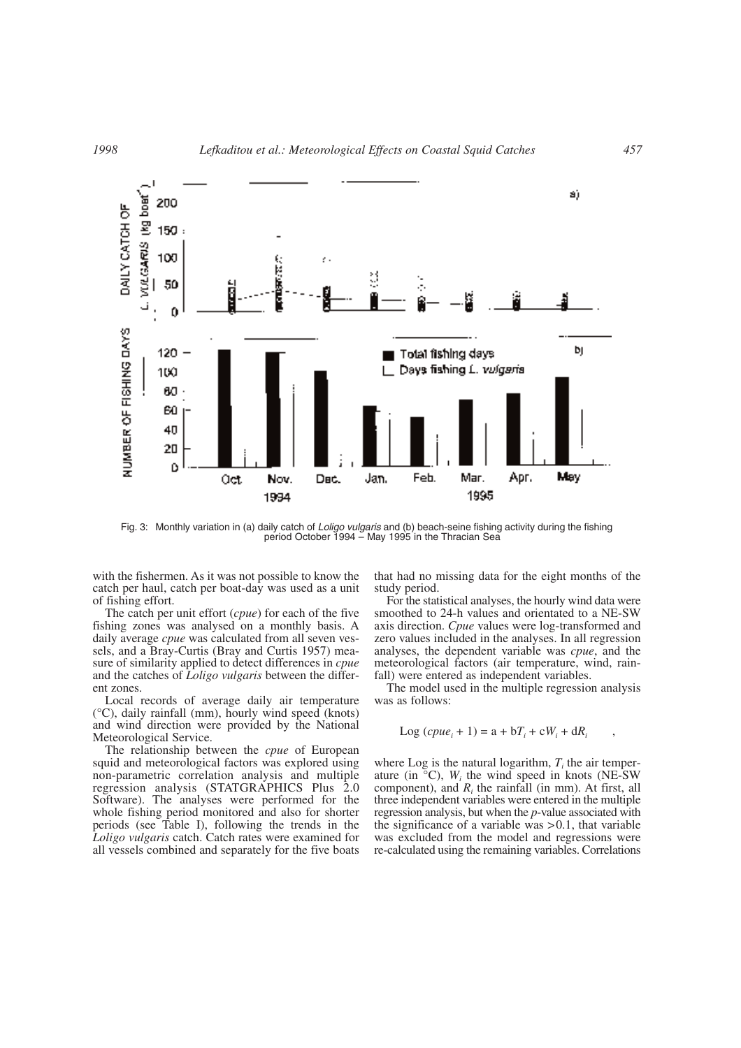

Fig. 3: Monthly variation in (a) daily catch of *Loligo vulgaris* and (b) beach-seine fishing activity during the fishing period October 1994 – May 1995 in the Thracian Sea

with the fishermen. As it was not possible to know the catch per haul, catch per boat-day was used as a unit of fishing effort.

The catch per unit effort (*cpue*) for each of the five fishing zones was analysed on a monthly basis. A daily average *cpue* was calculated from all seven vessels, and a Bray-Curtis (Bray and Curtis 1957) measure of similarity applied to detect differences in *cpue* and the catches of *Loligo vulgaris* between the different zones.

Local records of average daily air temperature (°C), daily rainfall (mm), hourly wind speed (knots) and wind direction were provided by the National Meteorological Service.

The relationship between the *cpue* of European squid and meteorological factors was explored using non-parametric correlation analysis and multiple regression analysis (STATGRAPHICS Plus 2.0 Software). The analyses were performed for the whole fishing period monitored and also for shorter periods (see Table I), following the trends in the *Loligo vulgaris* catch. Catch rates were examined for all vessels combined and separately for the five boats

that had no missing data for the eight months of the study period.

For the statistical analyses, the hourly wind data were smoothed to 24-h values and orientated to a NE-SW axis direction. *Cpue* values were log-transformed and zero values included in the analyses. In all regression analyses, the dependent variable was *cpue*, and the meteorological factors (air temperature, wind, rainfall) were entered as independent variables.

The model used in the multiple regression analysis was as follows:

$$
Log (cpuei + 1) = a + bTi + cWi + dRi ,
$$

where Log is the natural logarithm,  $T_i$  the air temperature (in  $\degree$ C), *W<sub>i</sub>* the wind speed in knots (NE-SW) component), and *Ri* the rainfall (in mm). At first, all three independent variables were entered in the multiple regression analysis, but when the *p*-value associated with the significance of a variable was  $> 0.1$ , that variable was excluded from the model and regressions were re-calculated using the remaining variables. Correlations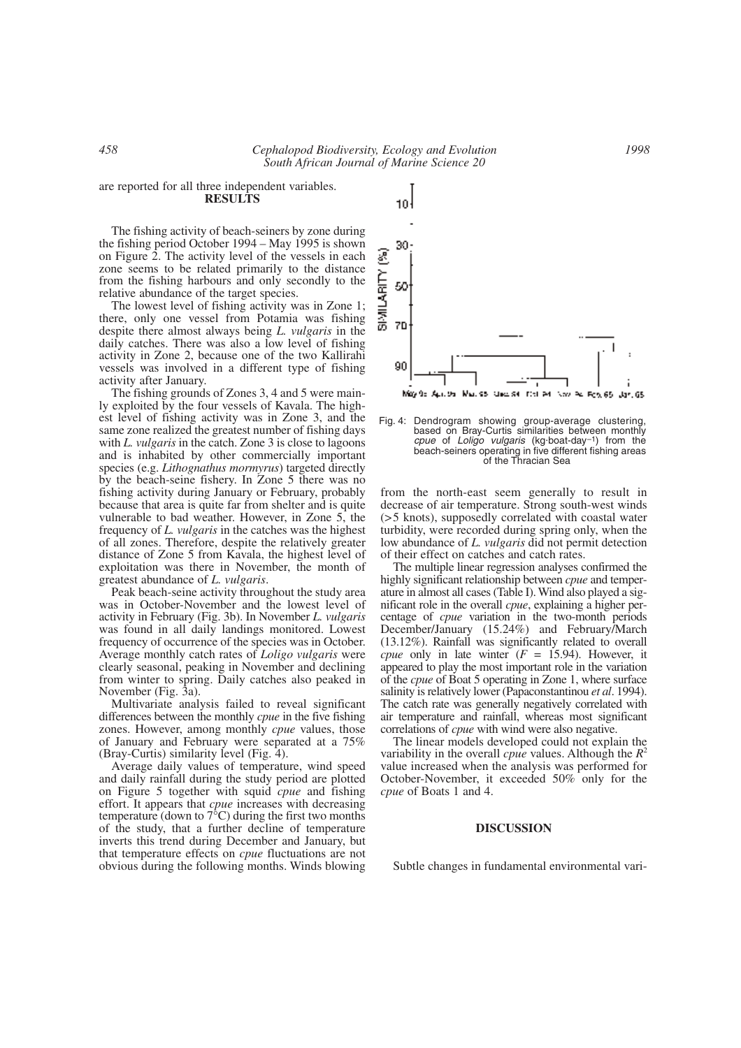# are reported for all three independent variables. **RESULTS**

The fishing activity of beach-seiners by zone during the fishing period October 1994 – May 1995 is shown on Figure 2. The activity level of the vessels in each zone seems to be related primarily to the distance from the fishing harbours and only secondly to the relative abundance of the target species.

The lowest level of fishing activity was in Zone 1; there, only one vessel from Potamia was fishing despite there almost always being *L. vulgaris* in the daily catches. There was also a low level of fishing activity in Zone 2, because one of the two Kallirahi vessels was involved in a different type of fishing activity after January.

The fishing grounds of Zones 3, 4 and 5 were mainly exploited by the four vessels of Kavala. The highest level of fishing activity was in Zone 3, and the same zone realized the greatest number of fishing days with *L. vulgaris* in the catch. Zone 3 is close to lagoons and is inhabited by other commercially important species (e.g. *Lithognathus mormyrus*) targeted directly by the beach-seine fishery. In Zone 5 there was no fishing activity during January or February, probably because that area is quite far from shelter and is quite vulnerable to bad weather. However, in Zone 5, the frequency of *L. vulgaris* in the catches was the highest of all zones. Therefore, despite the relatively greater distance of Zone 5 from Kavala, the highest level of exploitation was there in November, the month of greatest abundance of *L. vulgaris*.

Peak beach-seine activity throughout the study area was in October-November and the lowest level of activity in February (Fig. 3b). In November *L. vulgaris* was found in all daily landings monitored. Lowest frequency of occurrence of the species was in October. Average monthly catch rates of *Loligo vulgaris* were clearly seasonal, peaking in November and declining from winter to spring. Daily catches also peaked in November (Fig. 3a).

Multivariate analysis failed to reveal significant differences between the monthly *cpue* in the five fishing zones. However, among monthly *cpue* values, those of January and February were separated at a 75% (Bray-Curtis) similarity level (Fig. 4).

Average daily values of temperature, wind speed and daily rainfall during the study period are plotted on Figure 5 together with squid *cpue* and fishing effort. It appears that *cpue* increases with decreasing temperature (down to  $7^{\circ}$ C) during the first two months of the study, that a further decline of temperature inverts this trend during December and January, but that temperature effects on *cpue* fluctuations are not obvious during the following months. Winds blowing

30 ම **SIMILARITY** 50 70 90 May 95 April 25 Mari 95 Marc 94, 17th Ad, Nov. Ad, Feb, 65, Jan, 65

Fig. 4: Dendrogram showing group-average clustering, based on Bray-Curtis similarities between monthly *cpue* of *Loligo vulgaris* (kg. boat-day–1) from the beach-seiners operating in five different fishing areas of the Thracian Sea

from the north-east seem generally to result in decrease of air temperature. Strong south-west winds (>5 knots), supposedly correlated with coastal water turbidity, were recorded during spring only, when the low abundance of *L. vulgaris* did not permit detection of their effect on catches and catch rates.

The multiple linear regression analyses confirmed the highly significant relationship between *cpue* and temperature in almost all cases (Table I). Wind also played a significant role in the overall *cpue*, explaining a higher percentage of *cpue* variation in the two-month periods December/January (15.24%) and February/March (13.12%). Rainfall was significantly related to overall *cpue* only in late winter  $(F = 15.94)$ . However, it appeared to play the most important role in the variation of the *cpue* of Boat 5 operating in Zone 1, where surface salinity is relatively lower (Papaconstantinou *et al*. 1994). The catch rate was generally negatively correlated with air temperature and rainfall, whereas most significant correlations of *cpue* with wind were also negative.

The linear models developed could not explain the variability in the overall *cpue* values. Although the *R*<sup>2</sup> value increased when the analysis was performed for October-November, it exceeded 50% only for the *cpue* of Boats 1 and 4.

#### **DISCUSSION**

Subtle changes in fundamental environmental vari-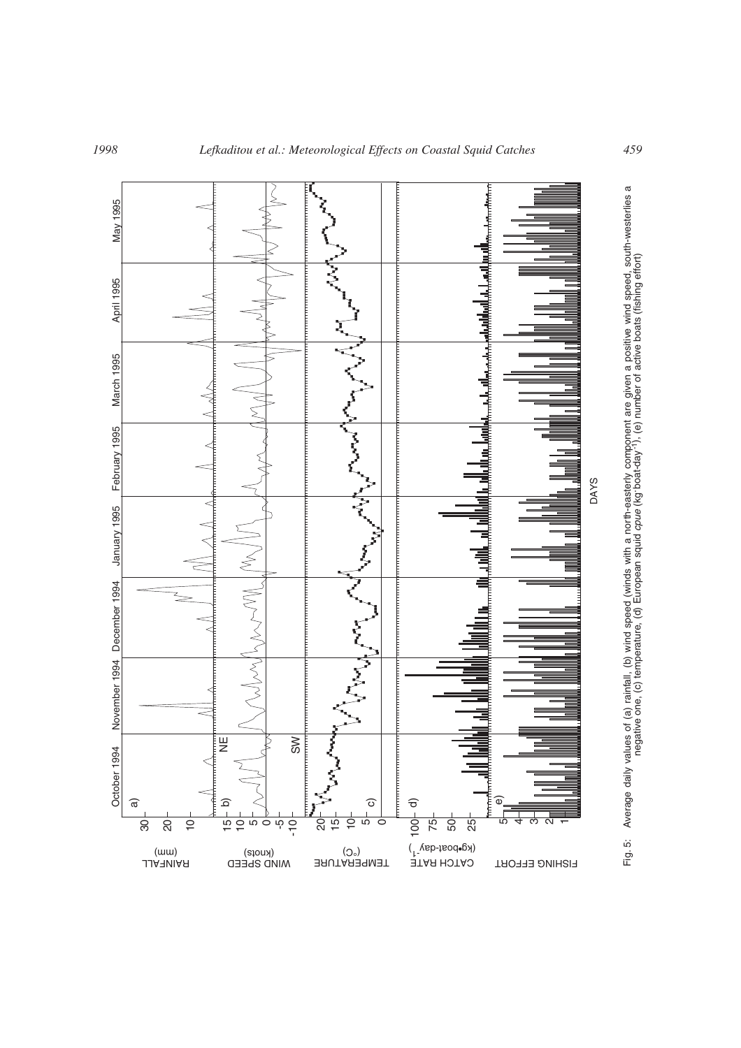

 $\sigma$ 

Fig. 5: Average daily values of (a) rainfall, (b) wind speed (winds with a north-easterly component are given a positive wind speed, south-westerlies a negative one, (c) temperature, (d) European squid *cpue* (kg.boat-day-1), (e) number of active boats (fishing effort)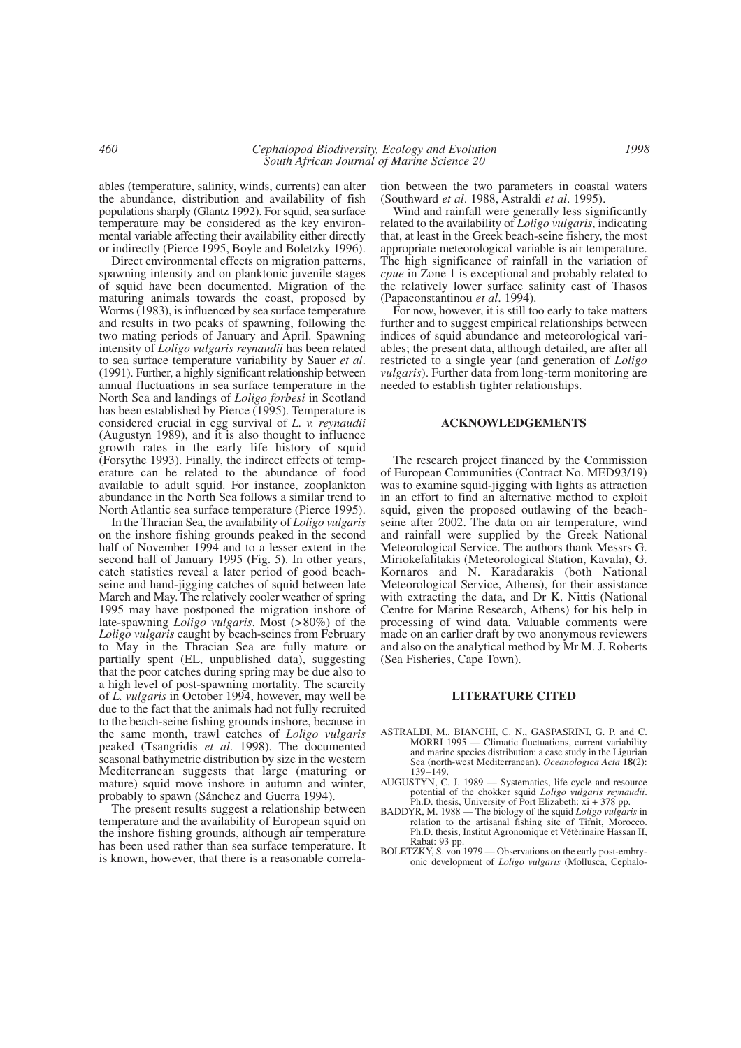ables (temperature, salinity, winds, currents) can alter the abundance, distribution and availability of fish populations sharply (Glantz 1992). For squid, sea surface temperature may be considered as the key environmental variable affecting their availability either directly or indirectly (Pierce 1995, Boyle and Boletzky 1996).

Direct environmental effects on migration patterns, spawning intensity and on planktonic juvenile stages of squid have been documented. Migration of the maturing animals towards the coast, proposed by Worms (1983), is influenced by sea surface temperature and results in two peaks of spawning, following the two mating periods of January and April. Spawning intensity of *Loligo vulgaris reynaudii* has been related to sea surface temperature variability by Sauer *et al*. (1991). Further, a highly significant relationship between annual fluctuations in sea surface temperature in the North Sea and landings of *Loligo forbesi* in Scotland has been established by Pierce (1995). Temperature is considered crucial in egg survival of *L. v. reynaudii* (Augustyn 1989), and it is also thought to influence growth rates in the early life history of squid (Forsythe 1993). Finally, the indirect effects of temperature can be related to the abundance of food available to adult squid. For instance, zooplankton abundance in the North Sea follows a similar trend to North Atlantic sea surface temperature (Pierce 1995).

In the Thracian Sea, the availability of *Loligo vulgaris* on the inshore fishing grounds peaked in the second half of November 1994 and to a lesser extent in the second half of January 1995 (Fig. 5). In other years, catch statistics reveal a later period of good beachseine and hand-jigging catches of squid between late March and May. The relatively cooler weather of spring 1995 may have postponed the migration inshore of late-spawning *Loligo vulgaris*. Most (>80%) of the *Loligo vulgaris* caught by beach-seines from February to May in the Thracian Sea are fully mature or partially spent (EL, unpublished data), suggesting that the poor catches during spring may be due also to a high level of post-spawning mortality. The scarcity of *L. vulgaris* in October 1994, however, may well be due to the fact that the animals had not fully recruited to the beach-seine fishing grounds inshore, because in the same month, trawl catches of *Loligo vulgaris* peaked (Tsangridis *et al*. 1998). The documented seasonal bathymetric distribution by size in the western Mediterranean suggests that large (maturing or mature) squid move inshore in autumn and winter, probably to spawn (Sánchez and Guerra 1994).

The present results suggest a relationship between temperature and the availability of European squid on the inshore fishing grounds, although air temperature has been used rather than sea surface temperature. It is known, however, that there is a reasonable correlation between the two parameters in coastal waters (Southward *et al*. 1988, Astraldi *et al*. 1995).

Wind and rainfall were generally less significantly related to the availability of *Loligo vulgaris*, indicating that, at least in the Greek beach-seine fishery, the most appropriate meteorological variable is air temperature. The high significance of rainfall in the variation of *cpue* in Zone 1 is exceptional and probably related to the relatively lower surface salinity east of Thasos (Papaconstantinou *et al*. 1994).

For now, however, it is still too early to take matters further and to suggest empirical relationships between indices of squid abundance and meteorological variables; the present data, although detailed, are after all restricted to a single year (and generation of *Loligo vulgaris*). Further data from long-term monitoring are needed to establish tighter relationships.

#### **ACKNOWLEDGEMENTS**

The research project financed by the Commission of European Communities (Contract No. MED93/19) was to examine squid-jigging with lights as attraction in an effort to find an alternative method to exploit squid, given the proposed outlawing of the beachseine after 2002. The data on air temperature, wind and rainfall were supplied by the Greek National Meteorological Service. The authors thank Messrs G. Miriokefalitakis (Meteorological Station, Kavala), G. Kornaros and N. Karadarakis (both National Meteorological Service, Athens), for their assistance with extracting the data, and Dr K. Nittis (National Centre for Marine Research, Athens) for his help in processing of wind data. Valuable comments were made on an earlier draft by two anonymous reviewers and also on the analytical method by Mr M. J. Roberts (Sea Fisheries, Cape Town).

### **LITERATURE CITED**

- ASTRALDI, M., BIANCHI, C. N., GASPASRINI, G. P. and C. MORRI 1995 — Climatic fluctuations, current variability and marine species distribution: a case study in the Ligurian Sea (north-west Mediterranean). *Oceanologica Acta* **18**(2): 139–149.
- AUGUSTYN, C. J. 1989 Systematics, life cycle and resource potential of the chokker squid *Loligo vulgaris reynaudii*. Ph.D. thesis, University of Port Elizabeth:  $xi + 378$  pp.
- BADDYR, M. 1988 The biology of the squid *Loligo vulgaris* in relation to the artisanal fishing site of Tifnit, Morocco. Ph.D. thesis, Institut Agronomique et Vétèrinaire Hassan II, Rabat: 93 pp.
- BOLETZKY, S. von 1979 Observations on the early post-embryonic development of *Loligo vulgaris* (Mollusca, Cephalo-